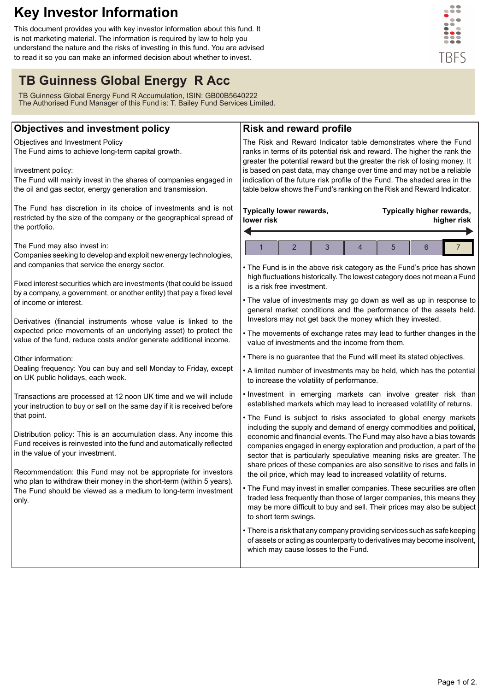# **Key Investor Information**

This document provides you with key investor information about this fund. It is not marketing material. The information is required by law to help you understand the nature and the risks of investing in this fund. You are advised to read it so you can make an informed decision about whether to invest.

## **TB Guinness Global Energy R Acc**

TB Guinness Global Energy Fund R Accumulation, ISIN: GB00B5640222 The Authorised Fund Manager of this Fund is: T. Bailey Fund Services Limited.

### **Objectives and investment policy**

Objectives and Investment Policy

The Fund aims to achieve long-term capital growth.

Investment policy:

The Fund will mainly invest in the shares of companies engaged in the oil and gas sector, energy generation and transmission.

The Fund has discretion in its choice of investments and is not restricted by the size of the company or the geographical spread of the portfolio.

The Fund may also invest in:

Companies seeking to develop and exploit new energy technologies, and companies that service the energy sector.

Fixed interest securities which are investments (that could be issued by a company, a government, or another entity) that pay a fixed level of income or interest.

Derivatives (financial instruments whose value is linked to the expected price movements of an underlying asset) to protect the value of the fund, reduce costs and/or generate additional income.

#### Other information:

Dealing frequency: You can buy and sell Monday to Friday, except on UK public holidays, each week.

Transactions are processed at 12 noon UK time and we will include your instruction to buy or sell on the same day if it is received before that point.

Distribution policy: This is an accumulation class. Any income this Fund receives is reinvested into the fund and automatically reflected in the value of your investment.

Recommendation: this Fund may not be appropriate for investors who plan to withdraw their money in the short-term (within 5 years). The Fund should be viewed as a medium to long-term investment only.

### **Risk and reward profile**

The Risk and Reward Indicator table demonstrates where the Fund ranks in terms of its potential risk and reward. The higher the rank the greater the potential reward but the greater the risk of losing money. It is based on past data, may change over time and may not be a reliable indication of the future risk profile of the Fund. The shaded area in the table below shows the Fund's ranking on the Risk and Reward Indicator.

| Typically lower rewards, |  |  |  | Typically higher rewards, |  |  |
|--------------------------|--|--|--|---------------------------|--|--|
| lower risk               |  |  |  | higher risk               |  |  |
|                          |  |  |  |                           |  |  |

• The Fund is in the above risk category as the Fund's price has shown high fluctuations historically. The lowest category does not mean a Fund is a risk free investment.

• The value of investments may go down as well as up in response to general market conditions and the performance of the assets held. Investors may not get back the money which they invested.

• The movements of exchange rates may lead to further changes in the value of investments and the income from them.

• There is no guarantee that the Fund will meet its stated objectives.

• A limited number of investments may be held, which has the potential to increase the volatility of performance.

• Investment in emerging markets can involve greater risk than established markets which may lead to increased volatility of returns.

• The Fund is subject to risks associated to global energy markets including the supply and demand of energy commodities and political, economic and financial events. The Fund may also have a bias towards companies engaged in energy exploration and production, a part of the sector that is particularly speculative meaning risks are greater. The share prices of these companies are also sensitive to rises and falls in the oil price, which may lead to increased volatility of returns.

The Fund may invest in smaller companies. These securities are often traded less frequently than those of larger companies, this means they may be more difficult to buy and sell. Their prices may also be subject to short term swings.

• There is a risk that any company providing services such as safe keeping of assets or acting as counterparty to derivatives may become insolvent, which may cause losses to the Fund.